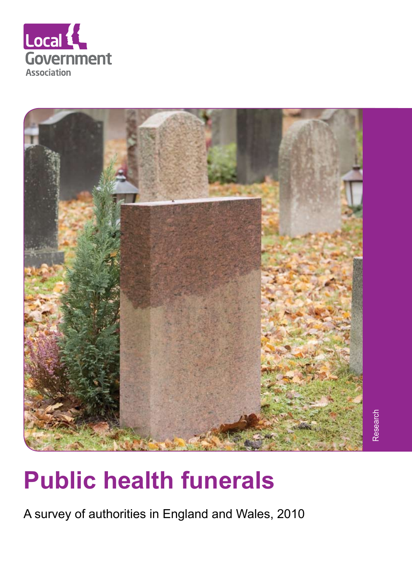



# **Public health funerals**

A survey of authorities in England and Wales, 2010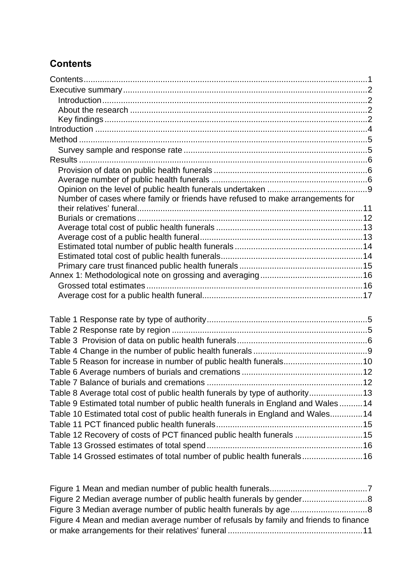# <span id="page-1-0"></span>**Contents**

| Number of cases where family or friends have refused to make arrangements for   |  |
|---------------------------------------------------------------------------------|--|
|                                                                                 |  |
|                                                                                 |  |
|                                                                                 |  |
|                                                                                 |  |
|                                                                                 |  |
|                                                                                 |  |
|                                                                                 |  |
|                                                                                 |  |
|                                                                                 |  |
|                                                                                 |  |
|                                                                                 |  |
|                                                                                 |  |
|                                                                                 |  |
|                                                                                 |  |
| Table 5 Reason for increase in number of public health funerals10               |  |
|                                                                                 |  |
|                                                                                 |  |
| Table 8 Average total cost of public health funerals by type of authority13     |  |
| Table 9 Estimated total number of public health funerals in England and Wales14 |  |
| Table 10 Estimated total cost of public health funerals in England and Wales14  |  |
|                                                                                 |  |
|                                                                                 |  |
| Table 12 Recovery of costs of PCT financed public health funerals  15           |  |
|                                                                                 |  |
| Table 14 Grossed estimates of total number of public health funerals 16         |  |

| Figure 4 Mean and median average number of refusals by family and friends to finance |  |
|--------------------------------------------------------------------------------------|--|
|                                                                                      |  |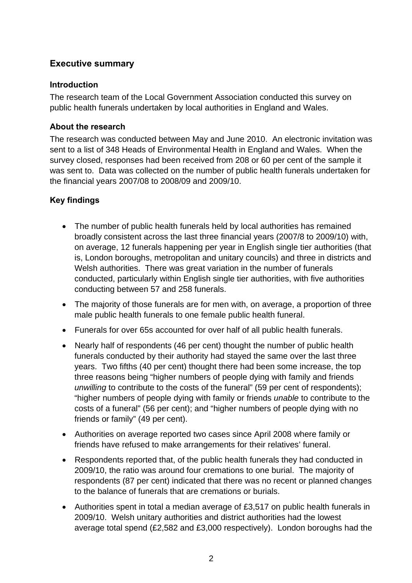# <span id="page-2-0"></span>**Executive summary**

#### <span id="page-2-1"></span>**Introduction**

The research team of the Local Government Association conducted this survey on public health funerals undertaken by local authorities in England and Wales.

#### <span id="page-2-2"></span>**About the research**

The research was conducted between May and June 2010. An electronic invitation was sent to a list of 348 Heads of Environmental Health in England and Wales. When the survey closed, responses had been received from 208 or 60 per cent of the sample it was sent to. Data was collected on the number of public health funerals undertaken for the financial years 2007/08 to 2008/09 and 2009/10.

#### <span id="page-2-3"></span>**Key findings**

- The number of public health funerals held by local authorities has remained broadly consistent across the last three financial years (2007/8 to 2009/10) with, on average, 12 funerals happening per year in English single tier authorities (that is, London boroughs, metropolitan and unitary councils) and three in districts and Welsh authorities. There was great variation in the number of funerals conducted, particularly within English single tier authorities, with five authorities conducting between 57 and 258 funerals.
- The majority of those funerals are for men with, on average, a proportion of three male public health funerals to one female public health funeral.
- Funerals for over 65s accounted for over half of all public health funerals.
- Nearly half of respondents (46 per cent) thought the number of public health funerals conducted by their authority had stayed the same over the last three years. Two fifths (40 per cent) thought there had been some increase, the top three reasons being "higher numbers of people dying with family and friends *unwilling* to contribute to the costs of the funeral" (59 per cent of respondents); "higher numbers of people dying with family or friends *unable* to contribute to the costs of a funeral" (56 per cent); and "higher numbers of people dying with no friends or family" (49 per cent).
- Authorities on average reported two cases since April 2008 where family or friends have refused to make arrangements for their relatives' funeral.
- Respondents reported that, of the public health funerals they had conducted in 2009/10, the ratio was around four cremations to one burial. The majority of respondents (87 per cent) indicated that there was no recent or planned changes to the balance of funerals that are cremations or burials.
- Authorities spent in total a median average of £3,517 on public health funerals in 2009/10. Welsh unitary authorities and district authorities had the lowest average total spend (£2,582 and £3,000 respectively). London boroughs had the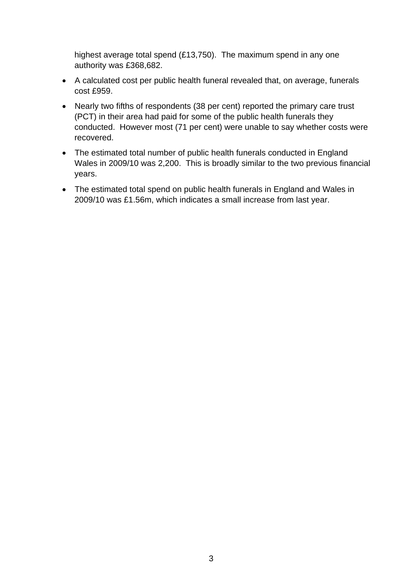highest average total spend (£13,750). The maximum spend in any one authority was £368,682.

- A calculated cost per public health funeral revealed that, on average, funerals cost £959.
- Nearly two fifths of respondents (38 per cent) reported the primary care trust (PCT) in their area had paid for some of the public health funerals they conducted. However most (71 per cent) were unable to say whether costs were recovered.
- The estimated total number of public health funerals conducted in England Wales in 2009/10 was 2,200. This is broadly similar to the two previous financial years.
- The estimated total spend on public health funerals in England and Wales in 2009/10 was £1.56m, which indicates a small increase from last year.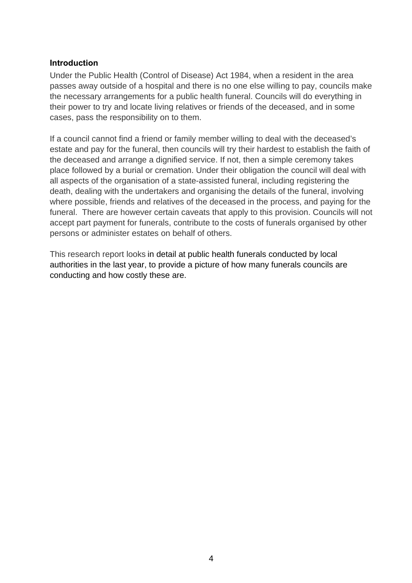#### <span id="page-4-0"></span>**Introduction**

Under the Public Health (Control of Disease) Act 1984, when a resident in the area passes away outside of a hospital and there is no one else willing to pay, councils make the necessary arrangements for a public health funeral. Councils will do everything in their power to try and locate living relatives or friends of the deceased, and in some cases, pass the responsibility on to them.

If a council cannot find a friend or family member willing to deal with the deceased's estate and pay for the funeral, then councils will try their hardest to establish the faith of the deceased and arrange a dignified service. If not, then a simple ceremony takes place followed by a burial or cremation. Under their obligation the council will deal with all aspects of the organisation of a state-assisted funeral, including registering the death, dealing with the undertakers and organising the details of the funeral, involving where possible, friends and relatives of the deceased in the process, and paying for the funeral. There are however certain caveats that apply to this provision. Councils will not accept part payment for funerals, contribute to the costs of funerals organised by other persons or administer estates on behalf of others.

This research report looks in detail at public health funerals conducted by local authorities in the last year, to provide a picture of how many funerals councils are conducting and how costly these are.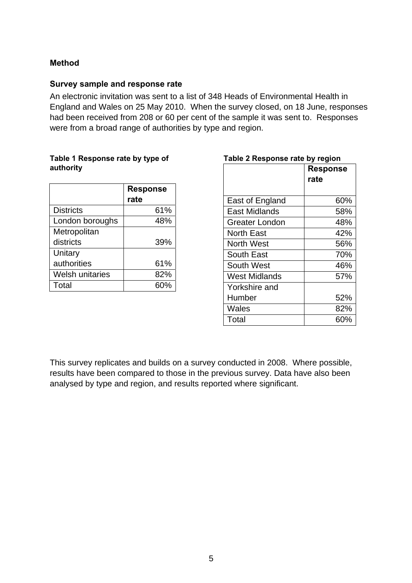#### <span id="page-5-0"></span>**Method**

#### <span id="page-5-1"></span>**Survey sample and response rate**

An electronic invitation was sent to a list of 348 Heads of Environmental Health in England and Wales on 25 May 2010. When the survey closed, on 18 June, responses had been received from 208 or 60 per cent of the sample it was sent to. Responses were from a broad range of authorities by type and region.

#### <span id="page-5-2"></span>**Table 1 Response rate by type of authority**

|                        | <b>Response</b> |
|------------------------|-----------------|
|                        | rate            |
| <b>Districts</b>       | 61%             |
| London boroughs        | 48%             |
| Metropolitan           |                 |
| districts              | 39%             |
| Unitary                |                 |
| authorities            | 61%             |
| <b>Welsh unitaries</b> | 82%             |
| Total                  | 60%             |

| Table 2 Response rate by region |      |  |  |  |
|---------------------------------|------|--|--|--|
| <b>Response</b>                 |      |  |  |  |
|                                 | rate |  |  |  |
|                                 |      |  |  |  |
| East of England                 | 60%  |  |  |  |
| East Midlands                   | 58%  |  |  |  |
| Greater London                  | 48%  |  |  |  |
| <b>North East</b>               | 42%  |  |  |  |
| North West                      | 56%  |  |  |  |
| <b>South East</b>               | 70%  |  |  |  |
| South West                      | 46%  |  |  |  |
| West Midlands                   | 57%  |  |  |  |
| Yorkshire and                   |      |  |  |  |
| Humber                          | 52%  |  |  |  |
| Wales                           | 82%  |  |  |  |
| Total                           | 60%  |  |  |  |

This survey replicates and builds on a survey conducted in 2008. Where possible, results have been compared to those in the previous survey. Data have also been analysed by type and region, and results reported where significant.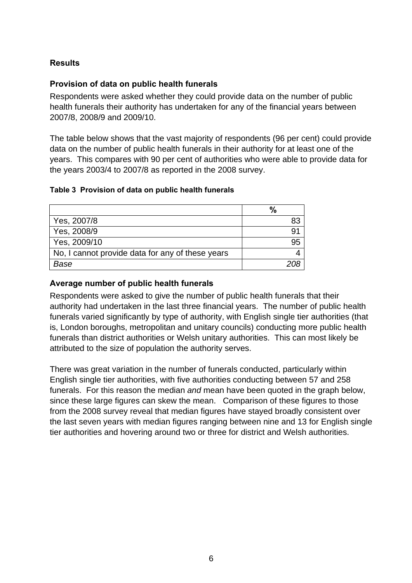## <span id="page-6-0"></span>**Results**

#### <span id="page-6-1"></span>**Provision of data on public health funerals**

Respondents were asked whether they could provide data on the number of public health funerals their authority has undertaken for any of the financial years between 2007/8, 2008/9 and 2009/10.

The table below shows that the vast majority of respondents (96 per cent) could provide data on the number of public health funerals in their authority for at least one of the years. This compares with 90 per cent of authorities who were able to provide data for the years 2003/4 to 2007/8 as reported in the 2008 survey.

#### <span id="page-6-3"></span>**Table 3 Provision of data on public health funerals**

|                                                  | $\%$ |
|--------------------------------------------------|------|
| Yes, 2007/8                                      | 83   |
| Yes, 2008/9                                      | g٠   |
| Yes, 2009/10                                     | 95   |
| No, I cannot provide data for any of these years |      |
| Base                                             |      |

#### <span id="page-6-2"></span>**Average number of public health funerals**

Respondents were asked to give the number of public health funerals that their authority had undertaken in the last three financial years. The number of public health funerals varied significantly by type of authority, with English single tier authorities (that is, London boroughs, metropolitan and unitary councils) conducting more public health funerals than district authorities or Welsh unitary authorities. This can most likely be attributed to the size of population the authority serves.

There was great variation in the number of funerals conducted, particularly within English single tier authorities, with five authorities conducting between 57 and 258 funerals. For this reason the median *and* mean have been quoted in the graph below, since these large figures can skew the mean. Comparison of these figures to those from the 2008 survey reveal that median figures have stayed broadly consistent over the last seven years with median figures ranging between nine and 13 for English single tier authorities and hovering around two or three for district and Welsh authorities.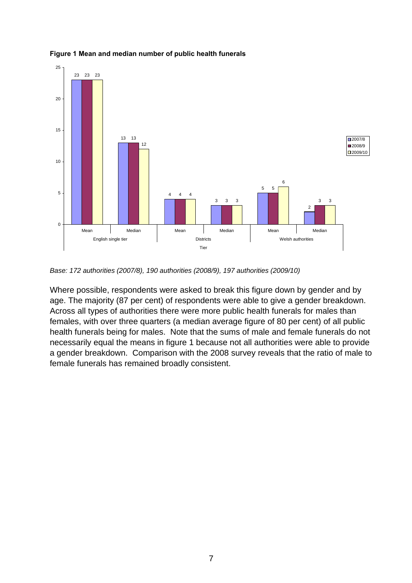<span id="page-7-0"></span>

#### **Figure 1 Mean and median number of public health funerals**

*Base: 172 authorities (2007/8), 190 authorities (2008/9), 197 authorities (2009/10)* 

Where possible, respondents were asked to break this figure down by gender and by age. The majority (87 per cent) of respondents were able to give a gender breakdown. Across all types of authorities there were more public health funerals for males than females, with over three quarters (a median average figure of 80 per cent) of all public health funerals being for males. Note that the sums of male and female funerals do not necessarily equal the means in figure 1 because not all authorities were able to provide a gender breakdown. Comparison with the 2008 survey reveals that the ratio of male to female funerals has remained broadly consistent.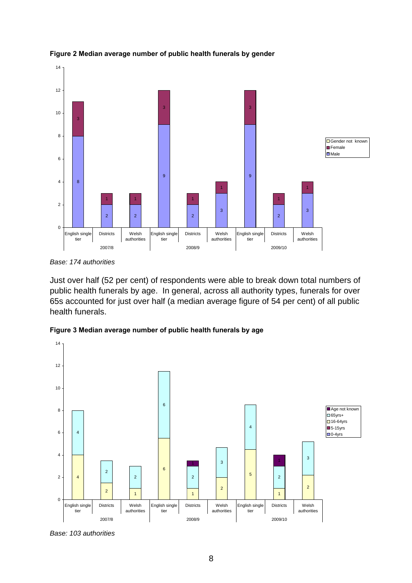

<span id="page-8-0"></span>**Figure 2 Median average number of public health funerals by gender** 

*Base: 174 authorities* 

Just over half (52 per cent) of respondents were able to break down total numbers of public health funerals by age. In general, across all authority types, funerals for over 65s accounted for just over half (a median average figure of 54 per cent) of all public health funerals.

<span id="page-8-1"></span>**Figure 3 Median average number of public health funerals by age** 



*Base: 103 authorities*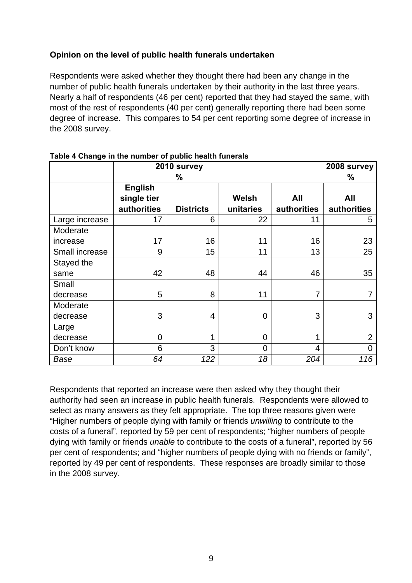### <span id="page-9-0"></span>**Opinion on the level of public health funerals undertaken**

Respondents were asked whether they thought there had been any change in the number of public health funerals undertaken by their authority in the last three years. Nearly a half of respondents (46 per cent) reported that they had stayed the same, with most of the rest of respondents (40 per cent) generally reporting there had been some degree of increase. This compares to 54 per cent reporting some degree of increase in the 2008 survey.

|                | 2010 survey                                  | 2008 survey<br>% |                    |                    |                    |
|----------------|----------------------------------------------|------------------|--------------------|--------------------|--------------------|
|                | <b>English</b><br>single tier<br>authorities | <b>Districts</b> | Welsh<br>unitaries | All<br>authorities | All<br>authorities |
| Large increase | 17                                           | 6                | 22                 | 11                 | 5                  |
| Moderate       |                                              |                  |                    |                    |                    |
| increase       | 17                                           | 16               | 11                 | 16                 | 23                 |
| Small increase | 9                                            | 15               | 11                 | 13                 | 25                 |
| Stayed the     |                                              |                  |                    |                    |                    |
| same           | 42                                           | 48               | 44                 | 46                 | 35                 |
| Small          |                                              |                  |                    |                    |                    |
| decrease       | 5                                            | 8                | 11                 | 7                  |                    |
| Moderate       |                                              |                  |                    |                    |                    |
| decrease       | 3                                            | 4                | 0                  | 3                  | 3                  |
| Large          |                                              |                  |                    |                    |                    |
| decrease       | $\overline{0}$                               |                  | 0                  |                    | $\overline{2}$     |
| Don't know     | 6                                            | 3                | $\overline{0}$     | $\overline{4}$     | $\overline{0}$     |
| Base           | 64                                           | 122              | 18                 | 204                | 116                |

#### <span id="page-9-1"></span>**Table 4 Change in the number of public health funerals**

Respondents that reported an increase were then asked why they thought their authority had seen an increase in public health funerals. Respondents were allowed to select as many answers as they felt appropriate. The top three reasons given were "Higher numbers of people dying with family or friends *unwilling* to contribute to the costs of a funeral", reported by 59 per cent of respondents; "higher numbers of people dying with family or friends *unable* to contribute to the costs of a funeral", reported by 56 per cent of respondents; and "higher numbers of people dying with no friends or family", reported by 49 per cent of respondents. These responses are broadly similar to those in the 2008 survey.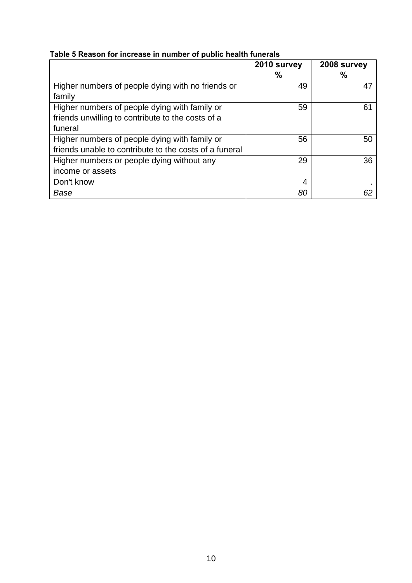<span id="page-10-0"></span>

|  |  | Table 5 Reason for increase in number of public health funerals |
|--|--|-----------------------------------------------------------------|
|  |  |                                                                 |

|                                                        | 2010 survey | 2008 survey |
|--------------------------------------------------------|-------------|-------------|
|                                                        | %           | %           |
| Higher numbers of people dying with no friends or      | 49          | 47          |
| family                                                 |             |             |
| Higher numbers of people dying with family or          | 59          | 61          |
| friends unwilling to contribute to the costs of a      |             |             |
| funeral                                                |             |             |
| Higher numbers of people dying with family or          | 56          | 50          |
| friends unable to contribute to the costs of a funeral |             |             |
| Higher numbers or people dying without any             | 29          | 36          |
| income or assets                                       |             |             |
| Don't know                                             | 4           |             |
| Base                                                   | 80          | 62          |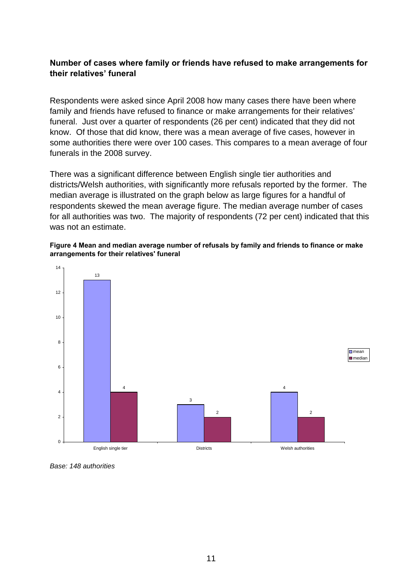#### <span id="page-11-0"></span>**Number of cases where family or friends have refused to make arrangements for their relatives' funeral**

Respondents were asked since April 2008 how many cases there have been where family and friends have refused to finance or make arrangements for their relatives' funeral. Just over a quarter of respondents (26 per cent) indicated that they did not know. Of those that did know, there was a mean average of five cases, however in some authorities there were over 100 cases. This compares to a mean average of four funerals in the 2008 survey.

There was a significant difference between English single tier authorities and districts/Welsh authorities, with significantly more refusals reported by the former. The median average is illustrated on the graph below as large figures for a handful of respondents skewed the mean average figure. The median average number of cases for all authorities was two. The majority of respondents (72 per cent) indicated that this was not an estimate.

#### **Figure 4 Mean and median average number of refusals by family and friends to finance or make arrangements for their relatives' funeral**

<span id="page-11-1"></span>

*Base: 148 authorities*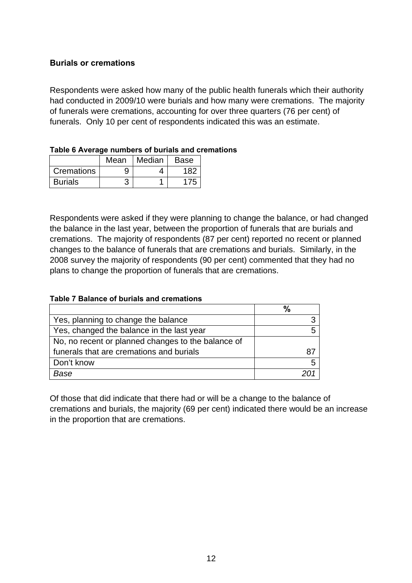#### <span id="page-12-0"></span>**Burials or cremations**

Respondents were asked how many of the public health funerals which their authority had conducted in 2009/10 were burials and how many were cremations. The majority of funerals were cremations, accounting for over three quarters (76 per cent) of funerals. Only 10 per cent of respondents indicated this was an estimate.

|                | Mean | Median | <b>Base</b> |
|----------------|------|--------|-------------|
| Cremations     | 9    |        | 182         |
| <b>Burials</b> |      |        |             |

<span id="page-12-1"></span>

|  | Table 6 Average numbers of burials and cremations |
|--|---------------------------------------------------|
|--|---------------------------------------------------|

Respondents were asked if they were planning to change the balance, or had changed the balance in the last year, between the proportion of funerals that are burials and cremations. The majority of respondents (87 per cent) reported no recent or planned changes to the balance of funerals that are cremations and burials. Similarly, in the 2008 survey the majority of respondents (90 per cent) commented that they had no plans to change the proportion of funerals that are cremations.

#### <span id="page-12-2"></span>**Table 7 Balance of burials and cremations**

|                                                    | $\frac{0}{0}$ |
|----------------------------------------------------|---------------|
| Yes, planning to change the balance                |               |
| Yes, changed the balance in the last year          |               |
| No, no recent or planned changes to the balance of |               |
| funerals that are cremations and burials           |               |
| Don't know                                         | 5             |
| Base                                               |               |

Of those that did indicate that there had or will be a change to the balance of cremations and burials, the majority (69 per cent) indicated there would be an increase in the proportion that are cremations.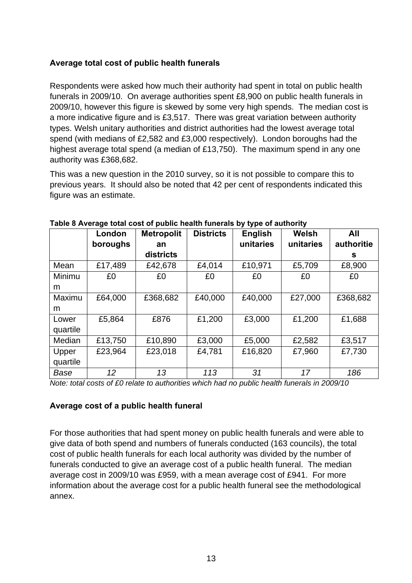## <span id="page-13-0"></span>**Average total cost of public health funerals**

Respondents were asked how much their authority had spent in total on public health funerals in 2009/10. On average authorities spent £8,900 on public health funerals in 2009/10, however this figure is skewed by some very high spends. The median cost is a more indicative figure and is £3,517. There was great variation between authority types. Welsh unitary authorities and district authorities had the lowest average total spend (with medians of £2,582 and £3,000 respectively). London boroughs had the highest average total spend (a median of £13,750). The maximum spend in any one authority was £368,682.

This was a new question in the 2010 survey, so it is not possible to compare this to previous years. It should also be noted that 42 per cent of respondents indicated this figure was an estimate.

<span id="page-13-2"></span>

|          | London<br>boroughs | <b>Metropolit</b><br>an | <b>Districts</b> | <b>English</b><br>unitaries | Welsh<br>unitaries | All<br>authoritie |
|----------|--------------------|-------------------------|------------------|-----------------------------|--------------------|-------------------|
|          |                    | districts               |                  |                             |                    | s.                |
| Mean     | £17,489            | £42,678                 | £4,014           | £10,971                     | £5,709             | £8,900            |
| Minimu   | £0                 | £0                      | £0               | £0                          | £0                 | £0                |
| m        |                    |                         |                  |                             |                    |                   |
| Maximu   | £64,000            | £368,682                | £40,000          | £40,000                     | £27,000            | £368,682          |
| m        |                    |                         |                  |                             |                    |                   |
| Lower    | £5,864             | £876                    | £1,200           | £3,000                      | £1,200             | £1,688            |
| quartile |                    |                         |                  |                             |                    |                   |
| Median   | £13,750            | £10,890                 | £3,000           | £5,000                      | £2,582             | £3,517            |
| Upper    | £23,964            | £23,018                 | £4,781           | £16,820                     | £7,960             | £7,730            |
| quartile |                    |                         |                  |                             |                    |                   |
| Base     | 12                 | 13                      | 113              | 31                          | 17                 | 186               |

#### **Table 8 Average total cost of public health funerals by type of authority**

*Note: total costs of £0 relate to authorities which had no public health funerals in 2009/10*

#### <span id="page-13-1"></span>**Average cost of a public health funeral**

For those authorities that had spent money on public health funerals and were able to give data of both spend and numbers of funerals conducted (163 councils), the total cost of public health funerals for each local authority was divided by the number of funerals conducted to give an average cost of a public health funeral. The median average cost in 2009/10 was £959, with a mean average cost of £941. For more information about the average cost for a public health funeral see the methodological annex.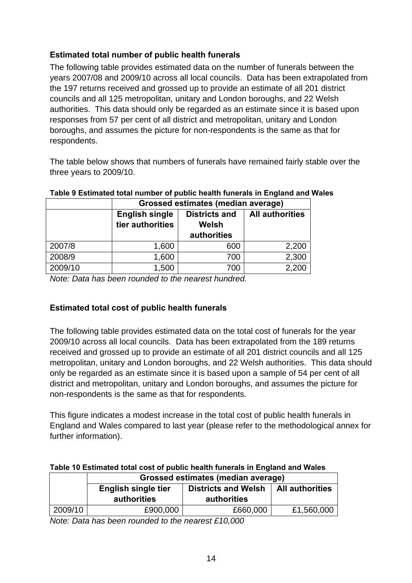# <span id="page-14-0"></span>**Estimated total number of public health funerals**

The following table provides estimated data on the number of funerals between the years 2007/08 and 2009/10 across all local councils. Data has been extrapolated from the 197 returns received and grossed up to provide an estimate of all 201 district councils and all 125 metropolitan, unitary and London boroughs, and 22 Welsh authorities. This data should only be regarded as an estimate since it is based upon responses from 57 per cent of all district and metropolitan, unitary and London boroughs, and assumes the picture for non-respondents is the same as that for respondents.

The table below shows that numbers of funerals have remained fairly stable over the three years to 2009/10.

<span id="page-14-2"></span>

|         | <b>Grossed estimates (median average)</b> |                               |                        |
|---------|-------------------------------------------|-------------------------------|------------------------|
|         | <b>English single</b><br>tier authorities | <b>Districts and</b><br>Welsh | <b>All authorities</b> |
|         |                                           | authorities                   |                        |
| 2007/8  | 1,600                                     | 600                           | 2,200                  |
| 2008/9  | 1,600                                     | 700                           | 2,300                  |
| 2009/10 | 1,500                                     | 700                           | 2,200                  |

# **Table 9 Estimated total number of public health funerals in England and Wales**

*Note: Data has been rounded to the nearest hundred.* 

#### <span id="page-14-1"></span>**Estimated total cost of public health funerals**

The following table provides estimated data on the total cost of funerals for the year 2009/10 across all local councils. Data has been extrapolated from the 189 returns received and grossed up to provide an estimate of all 201 district councils and all 125 metropolitan, unitary and London boroughs, and 22 Welsh authorities. This data should only be regarded as an estimate since it is based upon a sample of 54 per cent of all district and metropolitan, unitary and London boroughs, and assumes the picture for non-respondents is the same as that for respondents.

This figure indicates a modest increase in the total cost of public health funerals in England and Wales compared to last year (please refer to the methodological annex for further information).

# <span id="page-14-3"></span>**Table 10 Estimated total cost of public health funerals in England and Wales**

|         | Grossed estimates (median average)                       |             |                        |  |
|---------|----------------------------------------------------------|-------------|------------------------|--|
|         | <b>Districts and Welsh</b><br><b>English single tier</b> |             | <b>All authorities</b> |  |
|         | <b>authorities</b>                                       | authorities |                        |  |
| 2009/10 |                                                          |             |                        |  |

*Note: Data has been rounded to the nearest £10,000*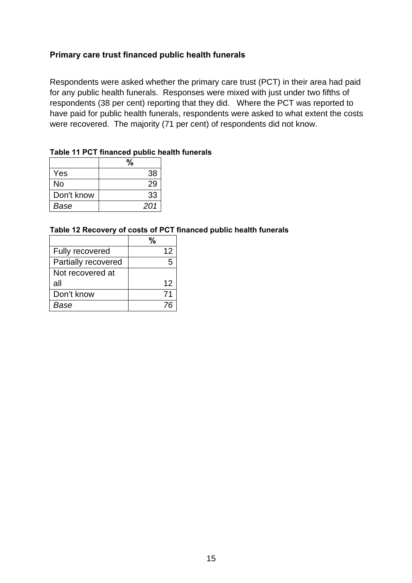#### <span id="page-15-0"></span>**Primary care trust financed public health funerals**

Respondents were asked whether the primary care trust (PCT) in their area had paid for any public health funerals. Responses were mixed with just under two fifths of respondents (38 per cent) reporting that they did. Where the PCT was reported to have paid for public health funerals, respondents were asked to what extent the costs were recovered. The majority (71 per cent) of respondents did not know.

#### <span id="page-15-1"></span>**Table 11 PCT financed public health funerals**

| Yes        | 38  |
|------------|-----|
| No         | 29  |
| Don't know | 33  |
| Base       | 201 |

#### <span id="page-15-2"></span>**Table 12 Recovery of costs of PCT financed public health funerals**

| <b>Fully recovered</b> | 12 |
|------------------------|----|
| Partially recovered    |    |
| Not recovered at       |    |
| all                    | 12 |
| Don't know             | 71 |
| Base                   |    |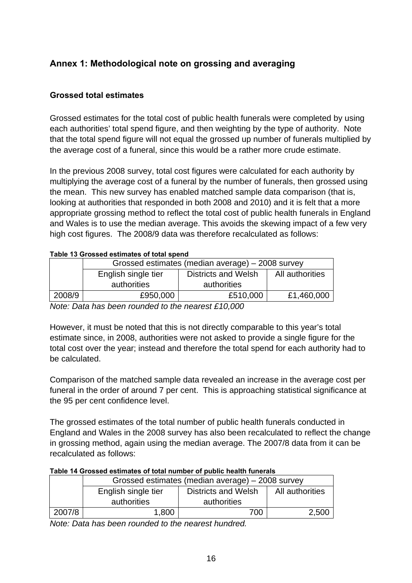# <span id="page-16-0"></span>**Annex 1: Methodological note on grossing and averaging**

### <span id="page-16-1"></span>**Grossed total estimates**

Grossed estimates for the total cost of public health funerals were completed by using each authorities' total spend figure, and then weighting by the type of authority. Note that the total spend figure will not equal the grossed up number of funerals multiplied by the average cost of a funeral, since this would be a rather more crude estimate.

In the previous 2008 survey, total cost figures were calculated for each authority by multiplying the average cost of a funeral by the number of funerals, then grossed using the mean. This new survey has enabled matched sample data comparison (that is, looking at authorities that responded in both 2008 and 2010) and it is felt that a more appropriate grossing method to reflect the total cost of public health funerals in England and Wales is to use the median average. This avoids the skewing impact of a few very high cost figures. The 2008/9 data was therefore recalculated as follows:

#### <span id="page-16-2"></span>**Table 13 Grossed estimates of total spend**

|        | Grossed estimates (median average) – 2008 survey |                     |                 |  |
|--------|--------------------------------------------------|---------------------|-----------------|--|
|        | English single tier                              | Districts and Welsh | All authorities |  |
|        | authorities                                      | authorities         |                 |  |
| 2008/9 | £950,000                                         | £510,000            | £1,460,000      |  |

*Note: Data has been rounded to the nearest £10,000* 

However, it must be noted that this is not directly comparable to this year's total estimate since, in 2008, authorities were not asked to provide a single figure for the total cost over the year; instead and therefore the total spend for each authority had to be calculated.

Comparison of the matched sample data revealed an increase in the average cost per funeral in the order of around 7 per cent. This is approaching statistical significance at the 95 per cent confidence level.

The grossed estimates of the total number of public health funerals conducted in England and Wales in the 2008 survey has also been recalculated to reflect the change in grossing method, again using the median average. The 2007/8 data from it can be recalculated as follows:

|  | Table 14 Grossed estimates of total number of public health funerals |
|--|----------------------------------------------------------------------|
|  |                                                                      |

<span id="page-16-3"></span>

|        | Grossed estimates (median average) – 2008 survey |                            |                 |  |
|--------|--------------------------------------------------|----------------------------|-----------------|--|
|        | English single tier                              | <b>Districts and Welsh</b> | All authorities |  |
|        | authorities                                      | authorities                |                 |  |
| 2007/8 | 1,800                                            | 700                        | 2,500           |  |

*Note: Data has been rounded to the nearest hundred.*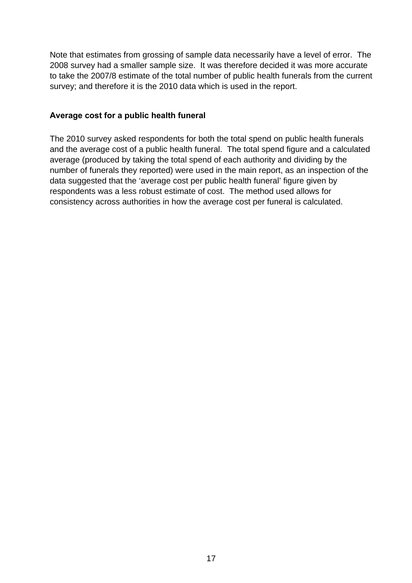Note that estimates from grossing of sample data necessarily have a level of error. The 2008 survey had a smaller sample size. It was therefore decided it was more accurate to take the 2007/8 estimate of the total number of public health funerals from the current survey; and therefore it is the 2010 data which is used in the report.

#### <span id="page-17-0"></span>**Average cost for a public health funeral**

The 2010 survey asked respondents for both the total spend on public health funerals and the average cost of a public health funeral. The total spend figure and a calculated average (produced by taking the total spend of each authority and dividing by the number of funerals they reported) were used in the main report, as an inspection of the data suggested that the 'average cost per public health funeral' figure given by respondents was a less robust estimate of cost. The method used allows for consistency across authorities in how the average cost per funeral is calculated.